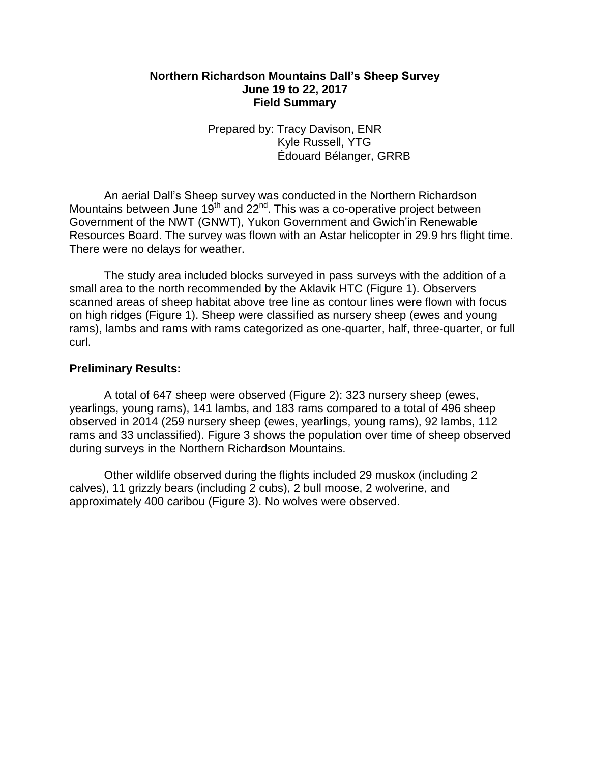## **Northern Richardson Mountains Dall's Sheep Survey June 19 to 22, 2017 Field Summary**

Prepared by: Tracy Davison, ENR Kyle Russell, YTG Édouard Bélanger, GRRB

An aerial Dall's Sheep survey was conducted in the Northern Richardson Mountains between June 19<sup>th</sup> and  $22^{nd}$ . This was a co-operative project between Government of the NWT (GNWT), Yukon Government and Gwich'in Renewable Resources Board. The survey was flown with an Astar helicopter in 29.9 hrs flight time. There were no delays for weather.

The study area included blocks surveyed in pass surveys with the addition of a small area to the north recommended by the Aklavik HTC (Figure 1). Observers scanned areas of sheep habitat above tree line as contour lines were flown with focus on high ridges (Figure 1). Sheep were classified as nursery sheep (ewes and young rams), lambs and rams with rams categorized as one-quarter, half, three-quarter, or full curl.

## **Preliminary Results:**

A total of 647 sheep were observed (Figure 2): 323 nursery sheep (ewes, yearlings, young rams), 141 lambs, and 183 rams compared to a total of 496 sheep observed in 2014 (259 nursery sheep (ewes, yearlings, young rams), 92 lambs, 112 rams and 33 unclassified). Figure 3 shows the population over time of sheep observed during surveys in the Northern Richardson Mountains.

Other wildlife observed during the flights included 29 muskox (including 2 calves), 11 grizzly bears (including 2 cubs), 2 bull moose, 2 wolverine, and approximately 400 caribou (Figure 3). No wolves were observed.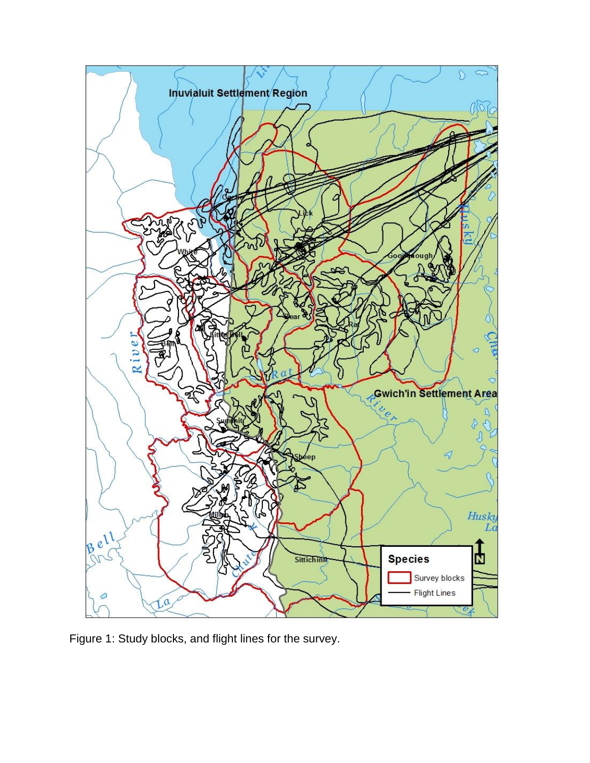

Figure 1: Study blocks, and flight lines for the survey.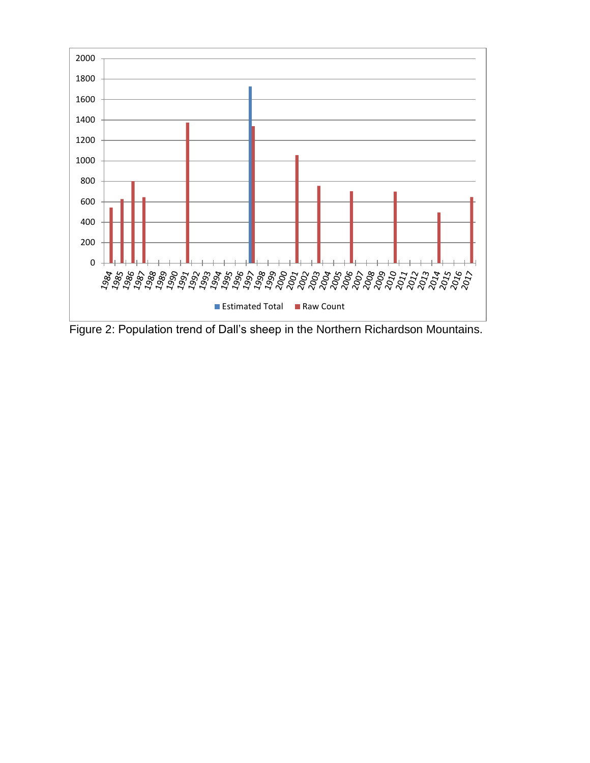

Figure 2: Population trend of Dall's sheep in the Northern Richardson Mountains.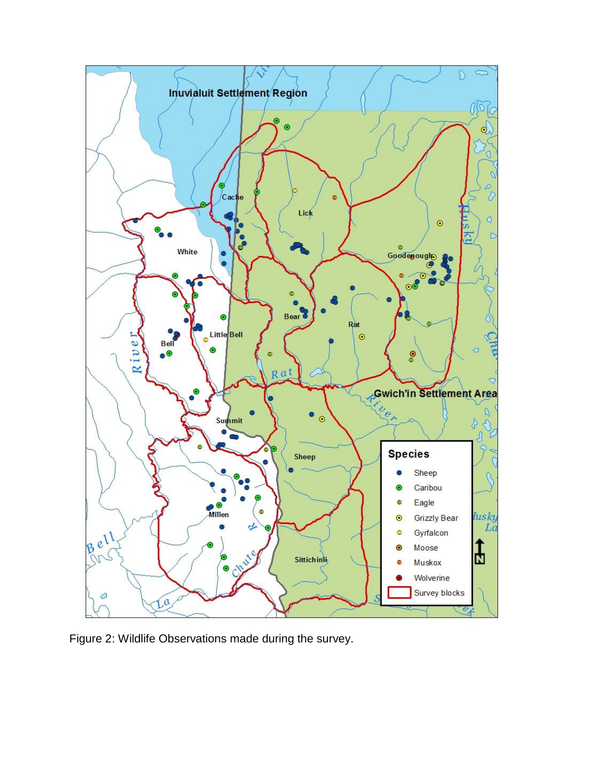

Figure 2: Wildlife Observations made during the survey.